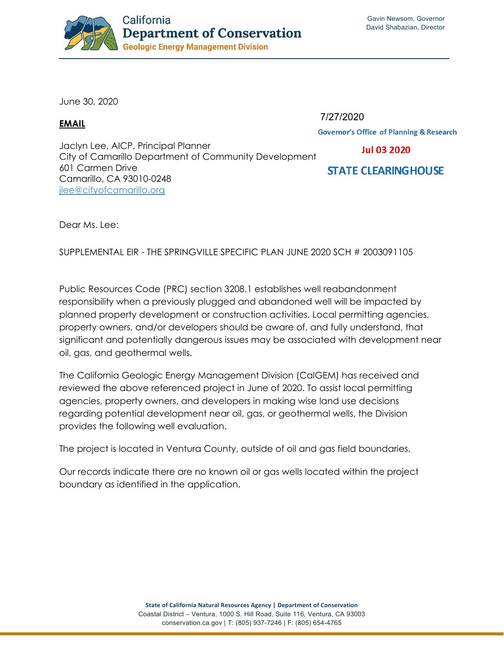

June 30, 2020

## **EMAIL**

7/27/2020

**Governor's Office of Planning & Research** 

**Jul 03 2020** 

Jaclyn Lee, AICP, Principal Planner City of Camarillo Department of Community Development 601 Carmen Drive Camarillo, CA 93010-0248 jlee@cityofcamarillo.org

**STATE CLEARINGHOUSE** 

Dear Ms. Lee:

SUPPLEMENTAL EIR - THE SPRINGVILLE SPECIFIC PLAN JUNE 2020 SCH # 2003091105

Public Resources Code (PRC) section 3208.1 establishes well reabandonment responsibility when a previously plugged and abandoned well will be impacted by planned property development or construction activities. Local permitting agencies, property owners, and/or developers should be aware of, and fully understand, that significant and potentially dangerous issues may be associated with development near oil, gas, and geothermal wells.

The California Geologic Energy Management Division (CalGEM) has received and reviewed the above referenced project in June of 2020. To assist local permitting agencies, property owners, and developers in making wise land use decisions regarding potential development near oil, gas, or geothermal wells, the Division provides the following well evaluation.

The project is located in Ventura County, outside of oil and gas field boundaries.

Our records indicate there are no known oil or gas wells located within the project boundary as identified in the application.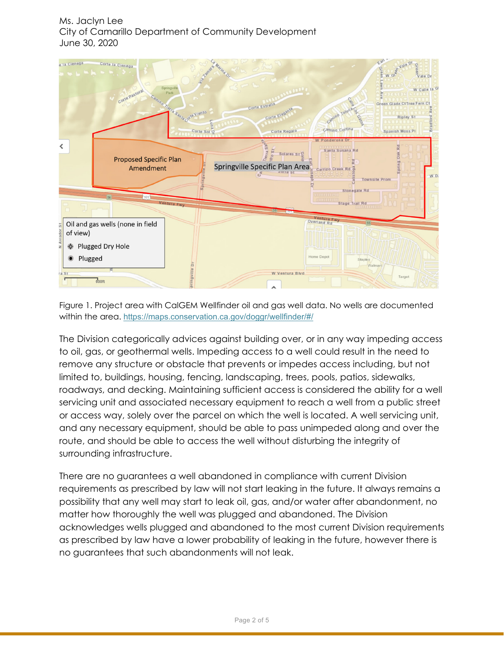

Figure 1. Project area with CalGEM Wellfinder oil and gas well data. No wells are documented within the area. https://maps.conservation.ca.gov/doggr/wellfinder/#/

The Division categorically advices against building over, or in any way impeding access to oil, gas, or geothermal wells. Impeding access to a well could result in the need to remove any structure or obstacle that prevents or impedes access including, but not limited to, buildings, housing, fencing, landscaping, trees, pools, patios, sidewalks, roadways, and decking. Maintaining sufficient access is considered the ability for a well servicing unit and associated necessary equipment to reach a well from a public street or access way, solely over the parcel on which the well is located. A well servicing unit, and any necessary equipment, should be able to pass unimpeded along and over the route, and should be able to access the well without disturbing the integrity of surrounding infrastructure.

There are no guarantees a well abandoned in compliance with current Division requirements as prescribed by law will not start leaking in the future. It always remains a possibility that any well may start to leak oil, gas, and/or water after abandonment, no matter how thoroughly the well was plugged and abandoned. The Division acknowledges wells plugged and abandoned to the most current Division requirements as prescribed by law have a lower probability of leaking in the future, however there is no guarantees that such abandonments will not leak.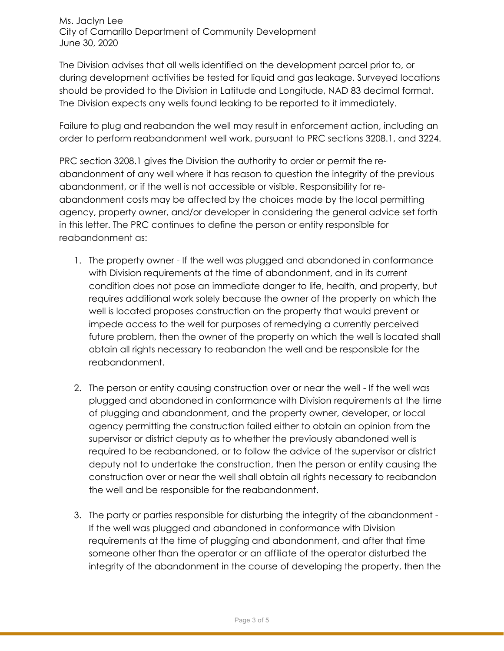The Division advises that all wells identified on the development parcel prior to, or during development activities be tested for liquid and gas leakage. Surveyed locations should be provided to the Division in Latitude and Longitude, NAD 83 decimal format. The Division expects any wells found leaking to be reported to it immediately.

Failure to plug and reabandon the well may result in enforcement action, including an order to perform reabandonment well work, pursuant to PRC sections 3208.1, and 3224.

PRC section 3208.1 gives the Division the authority to order or permit the reabandonment of any well where it has reason to question the integrity of the previous abandonment, or if the well is not accessible or visible. Responsibility for reabandonment costs may be affected by the choices made by the local permitting agency, property owner, and/or developer in considering the general advice set forth in this letter. The PRC continues to define the person or entity responsible for reabandonment as:

- 1. The property owner If the well was plugged and abandoned in conformance with Division requirements at the time of abandonment, and in its current condition does not pose an immediate danger to life, health, and property, but requires additional work solely because the owner of the property on which the well is located proposes construction on the property that would prevent or impede access to the well for purposes of remedying a currently perceived future problem, then the owner of the property on which the well is located shall obtain all rights necessary to reabandon the well and be responsible for the reabandonment.
- 2. The person or entity causing construction over or near the well If the well was plugged and abandoned in conformance with Division requirements at the time of plugging and abandonment, and the property owner, developer, or local agency permitting the construction failed either to obtain an opinion from the supervisor or district deputy as to whether the previously abandoned well is required to be reabandoned, or to follow the advice of the supervisor or district deputy not to undertake the construction, then the person or entity causing the construction over or near the well shall obtain all rights necessary to reabandon the well and be responsible for the reabandonment.
- 3. The party or parties responsible for disturbing the integrity of the abandonment If the well was plugged and abandoned in conformance with Division requirements at the time of plugging and abandonment, and after that time someone other than the operator or an affiliate of the operator disturbed the integrity of the abandonment in the course of developing the property, then the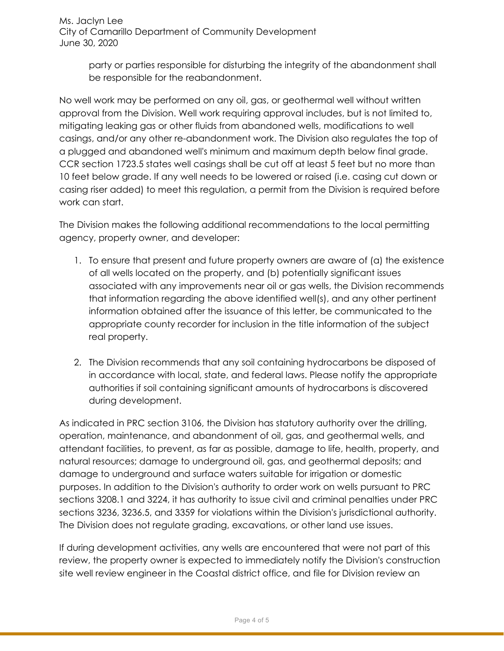> party or parties responsible for disturbing the integrity of the abandonment shall be responsible for the reabandonment.

No well work may be performed on any oil, gas, or geothermal well without written approval from the Division. Well work requiring approval includes, but is not limited to, mitigating leaking gas or other fluids from abandoned wells, modifications to well casings, and/or any other re-abandonment work. The Division also regulates the top of a plugged and abandoned well's minimum and maximum depth below final grade. CCR section 1723.5 states well casings shall be cut off at least 5 feet but no more than 10 feet below grade. If any well needs to be lowered or raised (i.e. casing cut down or casing riser added) to meet this regulation, a permit from the Division is required before work can start.

The Division makes the following additional recommendations to the local permitting agency, property owner, and developer:

- 1. To ensure that present and future property owners are aware of (a) the existence of all wells located on the property, and (b) potentially significant issues associated with any improvements near oil or gas wells, the Division recommends that information regarding the above identified well(s), and any other pertinent information obtained after the issuance of this letter, be communicated to the appropriate county recorder for inclusion in the title information of the subject real property.
- 2. The Division recommends that any soil containing hydrocarbons be disposed of in accordance with local, state, and federal laws. Please notify the appropriate authorities if soil containing significant amounts of hydrocarbons is discovered during development.

As indicated in PRC section 3106, the Division has statutory authority over the drilling, operation, maintenance, and abandonment of oil, gas, and geothermal wells, and attendant facilities, to prevent, as far as possible, damage to life, health, property, and natural resources; damage to underground oil, gas, and geothermal deposits; and damage to underground and surface waters suitable for irrigation or domestic purposes. In addition to the Division's authority to order work on wells pursuant to PRC sections 3208.1 and 3224, it has authority to issue civil and criminal penalties under PRC sections 3236, 3236.5, and 3359 for violations within the Division's jurisdictional authority. The Division does not regulate grading, excavations, or other land use issues.

If during development activities, any wells are encountered that were not part of this review, the property owner is expected to immediately notify the Division's construction site well review engineer in the Coastal district office, and file for Division review an